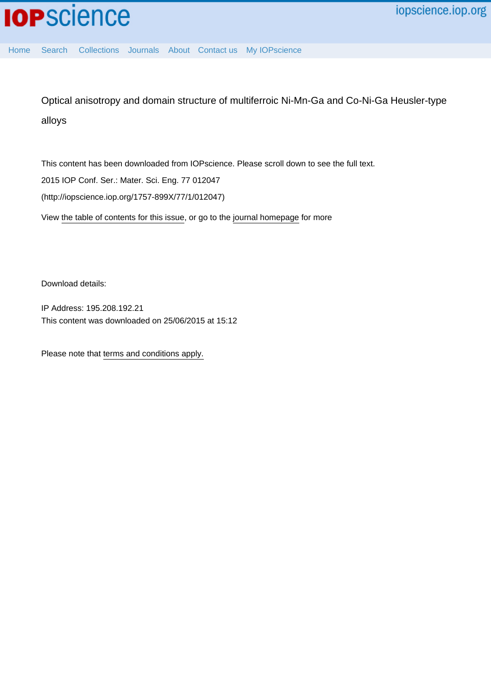[Home](http://iopscience.iop.org/) [Search](http://iopscience.iop.org/search) [Collections](http://iopscience.iop.org/collections) [Journals](http://iopscience.iop.org/journals) [About](http://iopscience.iop.org/page/aboutioppublishing) [Contact us](http://iopscience.iop.org/contact) [My IOPscience](http://iopscience.iop.org/myiopscience)

Optical anisotropy and domain structure of multiferroic Ni-Mn-Ga and Co-Ni-Ga Heusler-type alloys

This content has been downloaded from IOPscience. Please scroll down to see the full text. View [the table of contents for this issue](http://iopscience.iop.org/1757-899X/77/1), or go to the [journal homepage](http://iopscience.iop.org/1757-899X) for more 2015 IOP Conf. Ser.: Mater. Sci. Eng. 77 012047 (http://iopscience.iop.org/1757-899X/77/1/012047)

Download details:

IP Address: 195.208.192.21 This content was downloaded on 25/06/2015 at 15:12

Please note that [terms and conditions apply.](iopscience.iop.org/page/terms)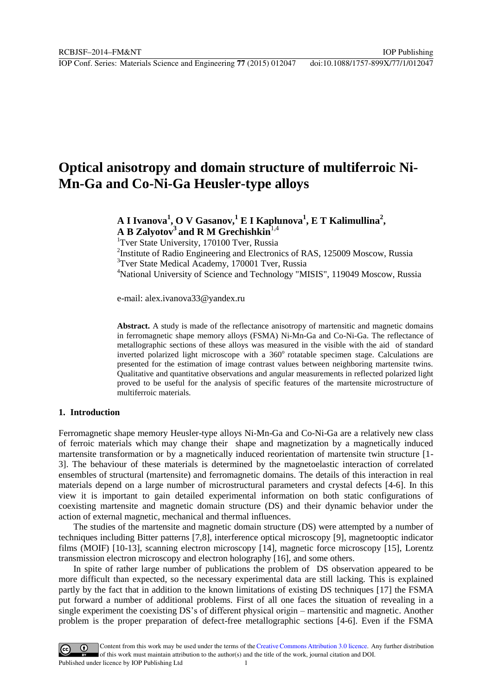IOP Conf. Series: Materials Science and Engineering **77** (2015) 012047 doi:10.1088/1757-899X/77/1/012047

# **Optical anisotropy and domain structure of multiferroic Ni-Mn-Ga and Co-Ni-Ga Heusler-type alloys**

## **A I Ivanova<sup>1</sup> , O V Gasanov,<sup>1</sup> E I Kaplunova<sup>1</sup> , E T Kalimullina<sup>2</sup> , A B Zalyotov<sup>3</sup>and R M Grechishkin**1,4

<sup>1</sup>Tver State University, 170100 Tver, Russia

<sup>2</sup>Institute of Radio Engineering and Electronics of RAS, 125009 Moscow, Russia <sup>3</sup>Tver State Medical Academy, 170001 Tver, Russia <sup>4</sup>National University of Science and Technology "MISIS", 119049 Moscow, Russia

e-mail: alex.ivanova33@yandex.ru

**Abstract.** A study is made of the reflectance anisotropy of martensitic and magnetic domains in ferromagnetic shape memory alloys (FSMA) Ni-Mn-Ga and Co-Ni-Ga. The reflectance of metallographic sections of these alloys was measured in the visible with the aid of standard inverted polarized light microscope with a 360° rotatable specimen stage. Calculations are presented for the estimation of image contrast values between neighboring martensite twins. Qualitative and quantitative observations and angular measurements in reflected polarized light proved to be useful for the analysis of specific features of the martensite microstructure of multiferroic materials.

#### **1. Introduction**

Ferromagnetic shape memory Heusler-type alloys Ni-Mn-Ga and Co-Ni-Ga are a relatively new class of ferroic materials which may change their shape and magnetization by a magnetically induced martensite transformation or by a magnetically induced reorientation of martensite twin structure [1- 3]. The behaviour of these materials is determined by the magnetoelastic interaction of correlated ensembles of structural (martensite) and ferromagnetic domains. The details of this interaction in real materials depend on a large number of microstructural parameters and crystal defects [4-6]. In this view it is important to gain detailed experimental information on both static configurations of coexisting martensite and magnetic domain structure (DS) and their dynamic behavior under the action of external magnetic, mechanical and thermal influences.

The studies of the martensite and magnetic domain structure (DS) were attempted by a number of techniques including Bitter patterns [7,8], interference optical microscopy [9], magnetooptic indicator films (MOIF) [10-13], scanning electron microscopy [14], magnetic force microscopy [15], Lorentz transmission electron microscopy and electron holography [16], and some others.

In spite of rather large number of publications the problem of DS observation appeared to be more difficult than expected, so the necessary experimental data are still lacking. This is explained partly by the fact that in addition to the known limitations of existing DS techniques [17] the FSMA put forward a number of additional problems. First of all one faces the situation of revealing in a single experiment the coexisting DS's of different physical origin – martensitic and magnetic. Another problem is the proper preparation of defect-free metallographic sections [4-6]. Even if the FSMA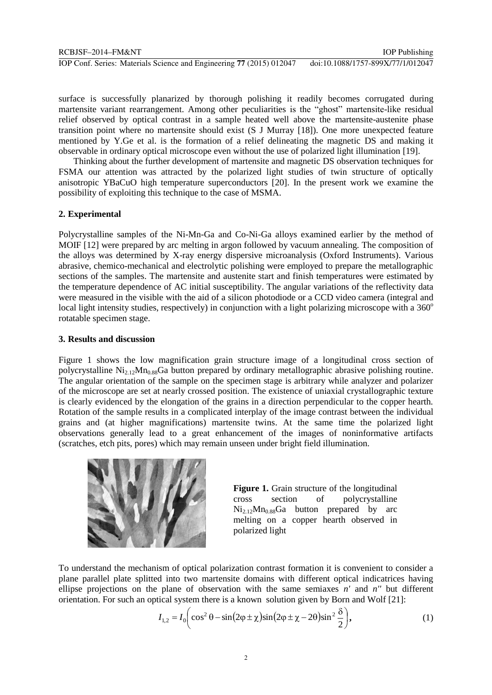IOP Conf. Series: Materials Science and Engineering **77** (2015) 012047 doi:10.1088/1757-899X/77/1/012047

surface is successfully planarized by thorough polishing it readily becomes corrugated during martensite variant rearrangement. Among other peculiarities is the "ghost" martensite-like residual relief observed by optical contrast in a sample heated well above the martensite-austenite phase transition point where no martensite should exist (S J Murray [18]). One more unexpected feature mentioned by Y.Ge et al. is the formation of a relief delineating the magnetic DS and making it observable in ordinary optical microscope even without the use of polarized light illumination [19].

Thinking about the further development of martensite and magnetic DS observation techniques for FSMA our attention was attracted by the polarized light studies of twin structure of optically anisotropic YBaCuO high temperature superconductors [20]. In the present work we examine the possibility of exploiting this technique to the case of MSMA.

#### **2. Experimental**

Polycrystalline samples of the Ni-Mn-Ga and Co-Ni-Ga alloys examined earlier by the method of MOIF [12] were prepared by arc melting in argon followed by vacuum annealing. The composition of the alloys was determined by X-ray energy dispersive microanalysis (Oxford Instruments). Various abrasive, chemico-mechanical and electrolytic polishing were employed to prepare the metallographic sections of the samples. The martensite and austenite start and finish temperatures were estimated by the temperature dependence of AC initial susceptibility. The angular variations of the reflectivity data were measured in the visible with the aid of a silicon photodiode or a CCD video camera (integral and local light intensity studies, respectively) in conjunction with a light polarizing microscope with a  $360^{\circ}$ rotatable specimen stage.

#### **3. Results and discussion**

Figure 1 shows the low magnification grain structure image of a longitudinal cross section of polycrystalline Ni2.12Mn0.88Ga button prepared by ordinary metallographic abrasive polishing routine. The angular orientation of the sample on the specimen stage is arbitrary while analyzer and polarizer of the microscope are set at nearly crossed position. The existence of uniaxial crystallographic texture is clearly evidenced by the elongation of the grains in a direction perpendicular to the copper hearth. Rotation of the sample results in a complicated interplay of the image contrast between the individual grains and (at higher magnifications) martensite twins. At the same time the polarized light observations generally lead to a great enhancement of the images of noninformative artifacts (scratches, etch pits, pores) which may remain unseen under bright field illumination.



**Figure 1.** Grain structure of the longitudinal cross section of polycrystalline  $Ni_{2.12}Mn_{0.88}Ga$  button prepared by arc melting on a copper hearth observed in polarized light

To understand the mechanism of optical polarization contrast formation it is convenient to consider a plane parallel plate splitted into two martensite domains with different optical indicatrices having ellipse projections on the plane of observation with the same semiaxes *n'* and *n''* but different orientation. For such an optical system there is a known solution given by Born and Wolf [21]:

plane of observation with the same semiaxes *n'* and *n''* but different  
tical system there is a known solution given by Born and Wolf [21]:  

$$
I_{1,2} = I_0 \bigg( \cos^2 \theta - \sin(2\varphi \pm \chi) \sin(2\varphi \pm \chi - 2\theta) \sin^2 \frac{\delta}{2} \bigg), \qquad (1)
$$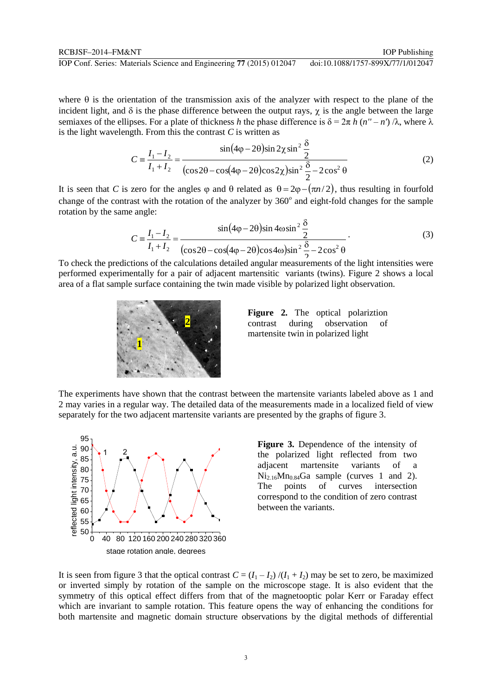where  $\theta$  is the orientation of the transmission axis of the analyzer with respect to the plane of the incident light, and  $\delta$  is the phase difference between the output rays,  $\chi$  is the angle between the large semiaxes of the ellipses. For a plate of thickness *h* the phase difference is  $\delta = 2\pi h (n'' - n') / \lambda$ , where  $\lambda$  is the light wavelength. From this the contrast *C* is written as  $sin(4φ - 2θ)sin 2χ sin<sup>2</sup> \frac{\delta}{2}$  (2) is the light wavelength. From this the contrast *C* is written as

$$
C = \frac{I_1 - I_2}{I_1 + I_2} = \frac{\sin(4\varphi - 2\theta)\sin 2\chi \sin^2 \frac{\delta}{2}}{(\cos 2\theta - \cos(4\varphi - 2\theta)\cos 2\chi)\sin^2 \frac{\delta}{2} - 2\cos^2 \theta}
$$
(2)

It is seen that *C* is zero for the angles  $\varphi$  and  $\theta$  related as  $\theta = 2\varphi - (\pi n/2)$ , thus resulting in fourfold change of the contrast with the rotation of the analyzer by 360° and eight-fold changes for the sample<br>rotation by the same angle:<br> $\sin(4\varphi - 2\theta)\sin 4\omega \sin^2 \frac{\delta}{2}$  (3) rotation by the same angle:

$$
C = \frac{I_1 - I_2}{I_1 + I_2} = \frac{\sin(4\varphi - 2\theta)\sin 4\omega \sin^2 \frac{\delta}{2}}{(\cos 2\theta - \cos(4\varphi - 2\theta)\cos 4\omega)\sin^2 \frac{\delta}{2} - 2\cos^2 \theta}
$$
(3)

To check the predictions of the calculations detailed angular measurements of the light intensities were performed experimentally for a pair of adjacent martensitic variants (twins). Figure 2 shows a local area of a flat sample surface containing the twin made visible by polarized light observation.



**Figure 2.** The optical polariztion contrast during observation of martensite twin in polarized light

The experiments have shown that the contrast between the martensite variants labeled above as 1 and 2 may varies in a regular way. The detailed data of the measurements made in a localized field of view separately for the two adjacent martensite variants are presented by the graphs of figure 3.



**Figure 3.** Dependence of the intensity of the polarized light reflected from two adjacent martensite variants of a  $Ni<sub>2.16</sub>Mn<sub>0.84</sub>Ga sample (curves 1 and 2).$ The points of curves intersection correspond to the condition of zero contrast between the variants.

It is seen from figure 3 that the optical contrast  $C = (I_1 - I_2)/(I_1 + I_2)$  may be set to zero, be maximized or inverted simply by rotation of the sample on the microscope stage. It is also evident that the symmetry of this optical effect differs from that of the magnetooptic polar Kerr or Faraday effect which are invariant to sample rotation. This feature opens the way of enhancing the conditions for both martensite and magnetic domain structure observations by the digital methods of differential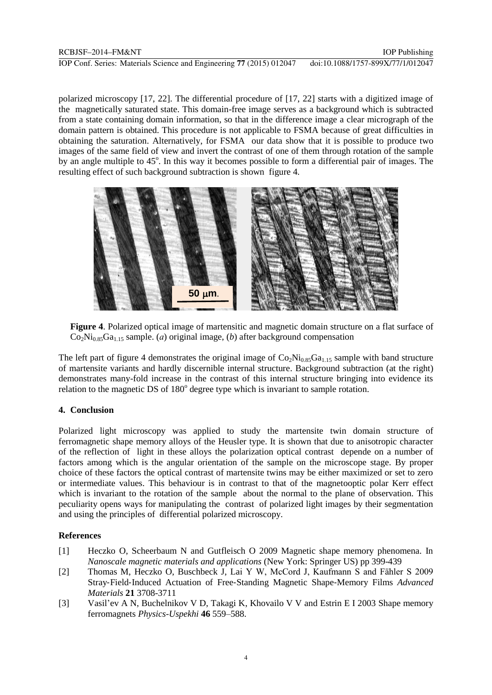polarized microscopy [17, 22]. The differential procedure of [17, 22] starts with a digitized image of the magnetically saturated state. This domain-free image serves as a background which is subtracted from a state containing domain information, so that in the difference image a clear micrograph of the domain pattern is obtained. This procedure is not applicable to FSMA because of great difficulties in obtaining the saturation. Alternatively, for FSMA our data show that it is possible to produce two images of the same field of view and invert the contrast of one of them through rotation of the sample by an angle multiple to 45°. In this way it becomes possible to form a differential pair of images. The resulting effect of such background subtraction is shown figure 4.



**Figure 4**. Polarized optical image of martensitic and magnetic domain structure on a flat surface of  $Co<sub>2</sub>Ni<sub>0.85</sub>Ga<sub>1.15</sub>$  sample. (*a*) original image, (*b*) after background compensation

The left part of figure 4 demonstrates the original image of  $Co_2Ni_{0.85}Ga_{1.15}$  sample with band structure of martensite variants and hardly discernible internal structure. Background subtraction (at the right) demonstrates many-fold increase in the contrast of this internal structure bringing into evidence its relation to the magnetic DS of  $180^\circ$  degree type which is invariant to sample rotation.

## **4. Conclusion**

Polarized light microscopy was applied to study the martensite twin domain structure of ferromagnetic shape memory alloys of the Heusler type. It is shown that due to anisotropic character of the reflection of light in these alloys the polarization optical contrast depende on a number of factors among which is the angular orientation of the sample on the microscope stage. By proper choice of these factors the optical contrast of martensite twins may be either maximized or set to zero or intermediate values. This behaviour is in contrast to that of the magnetooptic polar Kerr effect which is invariant to the rotation of the sample about the normal to the plane of observation. This peculiarity opens ways for manipulating the contrast of polarized light images by their segmentation and using the principles of differential polarized microscopy.

## **References**

- [1] Heczko O, Scheerbaum N and Gutfleisch O 2009 Magnetic shape memory phenomena. In *Nanoscale magnetic materials and applications* (New York: Springer US) pp 399-439
- [2] Thomas M, Heczko O, Buschbeck J, Lai Y W, McCord J, Kaufmann S and Fähler S 2009 Stray‐Field‐Induced Actuation of Free‐Standing Magnetic Shape‐Memory Films *Advanced Materials* **21** 3708-3711
- [3] Vasil'ev A N, Buchelnikov V D, Takagi K, Khovailo V V and Estrin E I 2003 [Shape memory](http://ufn.ru/en/articles/2003/6/a/)  [ferromagnets](http://ufn.ru/en/articles/2003/6/a/) *Physics-Uspekhi* **46** 559–588.